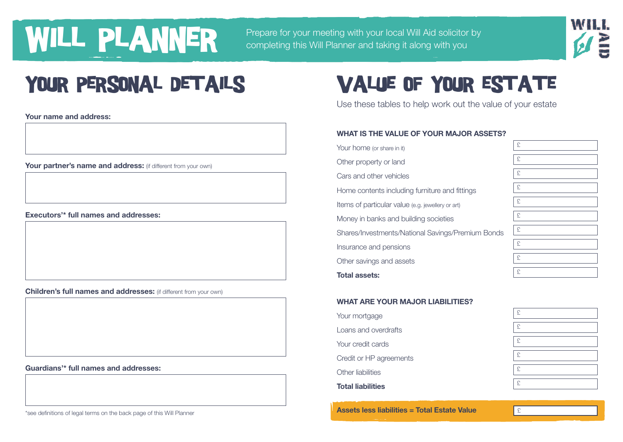## WILL PLANNER PER PER completing this Will Planner and taking it along with you

Prepare for your meeting with your local Will Aid solicitor by



**Your name and address:**

**Your partner's name and address:** (if different from your own)

**Executors'\* full names and addresses:**

**Children's full names and addresses:** (if different from your own)

**Guardians'\* full names and addresses:**

### YOUR PERSONAL DETAILS VALUE OF YOUR ESTATE

Use these tables to help work out the value of your estate

#### **WHAT IS THE VALUE OF YOUR MAJOR ASSETS?**

Your home (or share in it) Other property or land Cars and other vehicles Home contents including furniture and fittings Items of particular value (e.g. jewellery or art) Money in banks and building societies Shares/Investments/National Savings/Premium Bonds Insurance and pensions Other savings and assets **Total assets:**



£ £ £ £ £ £

£

#### **WHAT ARE YOUR MAJOR LIABILITIES?**

| <b>Total liabilities</b> |
|--------------------------|
| Other liabilities        |
| Credit or HP agreements  |
| Your credit cards        |
| Loans and overdrafts     |
| Your mortgage            |

**Assets less liabilities = Total Estate Value**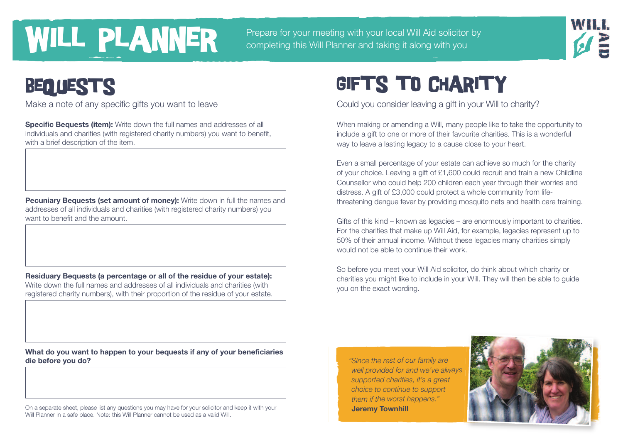# **WILL PLANNER** Prepare for your meeting with your local Will Aid solicitor completing this Will Planner and taking it along with you

Prepare for your meeting with your local Will Aid solicitor by



### BEQUESTS

**Specific Bequests (item):** Write down the full names and addresses of all individuals and charities (with registered charity numbers) you want to benefit, with a brief description of the item.

**Pecuniary Bequests (set amount of money):** Write down in full the names and addresses of all individuals and charities (with registered charity numbers) you want to benefit and the amount.

**Residuary Bequests (a percentage or all of the residue of your estate):** Write down the full names and addresses of all individuals and charities (with registered charity numbers), with their proportion of the residue of your estate.

**What do you want to happen to your bequests if any of your beneficiaries die before you do?**

On a separate sheet, please list any questions you may have for your solicitor and keep it with your Will Planner in a safe place. Note: this Will Planner cannot be used as a valid Will.

## **GIFTS TO CHARITY**

Make a note of any specific gifts you want to leave Could you consider leaving a gift in your Will to charity?

When making or amending a Will, many people like to take the opportunity to include a gift to one or more of their favourite charities. This is a wonderful way to leave a lasting legacy to a cause close to your heart.

Even a small percentage of your estate can achieve so much for the charity of your choice. Leaving a gift of £1,600 could recruit and train a new Childline Counsellor who could help 200 children each year through their worries and distress. A gift of £3,000 could protect a whole community from lifethreatening dengue fever by providing mosquito nets and health care training.

Gifts of this kind – known as legacies – are enormously important to charities. For the charities that make up Will Aid, for example, legacies represent up to 50% of their annual income. Without these legacies many charities simply would not be able to continue their work.

So before you meet your Will Aid solicitor, do think about which charity or charities you might like to include in your Will. They will then be able to guide you on the exact wording.

*"Since the rest of our family are well provided for and we've always supported charities, it's <sup>a</sup> great choice to continue to support them if the worst happens."* **Jeremy Townhill**